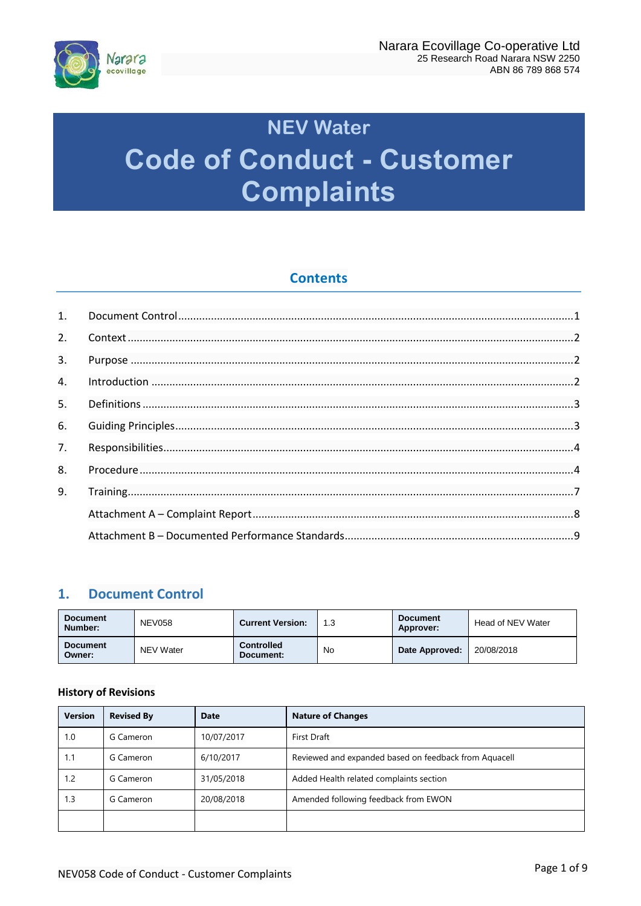

# **NEV Water Code of Conduct - Customer Complaints**

# **Contents**

| $\mathbf{1}$ . |  |
|----------------|--|
| 2.             |  |
| 3.             |  |
| 4.             |  |
| 5.             |  |
| 6.             |  |
| 7.             |  |
| 8.             |  |
| 9.             |  |
|                |  |
|                |  |

# <span id="page-0-0"></span>**1. Document Control**

| <b>Document</b><br>Number: | <b>NEV058</b> | <b>Current Version:</b>        | 1.3 | <b>Document</b><br>Approver: | Head of NEV Water |
|----------------------------|---------------|--------------------------------|-----|------------------------------|-------------------|
| <b>Document</b><br>Owner:  | NEV Water     | <b>Controlled</b><br>Document: | No  | Date Approved:               | 20/08/2018        |

## **History of Revisions**

| <b>Version</b> | <b>Revised By</b> | <b>Date</b> | <b>Nature of Changes</b>                              |
|----------------|-------------------|-------------|-------------------------------------------------------|
| 1.0            | G Cameron         | 10/07/2017  | First Draft                                           |
| 1.1            | G Cameron         | 6/10/2017   | Reviewed and expanded based on feedback from Aquacell |
| 1.2            | G Cameron         | 31/05/2018  | Added Health related complaints section               |
| 1.3            | G Cameron         | 20/08/2018  | Amended following feedback from EWON                  |
|                |                   |             |                                                       |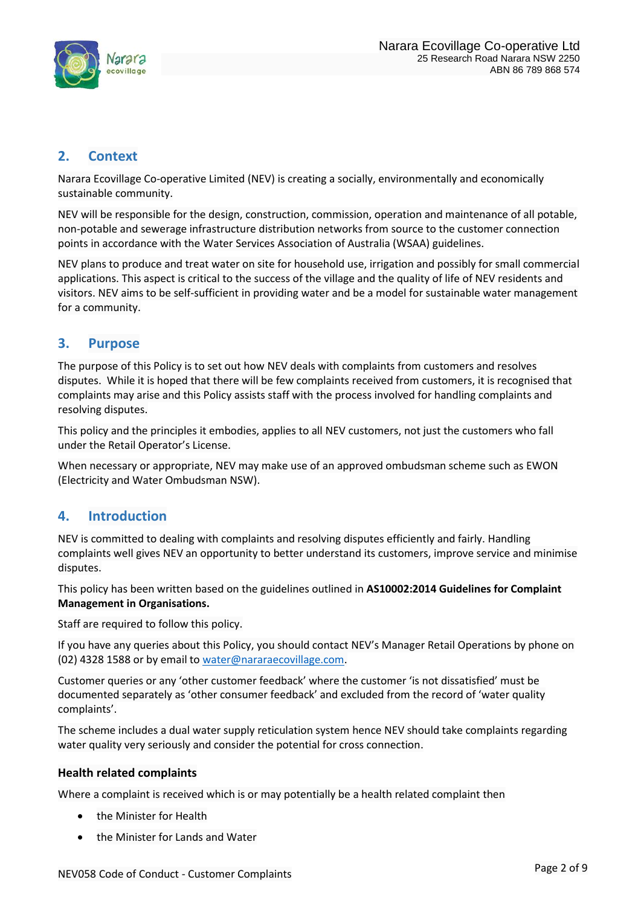

# <span id="page-1-0"></span>**2. Context**

Narara Ecovillage Co-operative Limited (NEV) is creating a socially, environmentally and economically sustainable community.

NEV will be responsible for the design, construction, commission, operation and maintenance of all potable, non-potable and sewerage infrastructure distribution networks from source to the customer connection points in accordance with the Water Services Association of Australia (WSAA) guidelines.

NEV plans to produce and treat water on site for household use, irrigation and possibly for small commercial applications. This aspect is critical to the success of the village and the quality of life of NEV residents and visitors. NEV aims to be self-sufficient in providing water and be a model for sustainable water management for a community.

## <span id="page-1-1"></span>**3. Purpose**

The purpose of this Policy is to set out how NEV deals with complaints from customers and resolves disputes. While it is hoped that there will be few complaints received from customers, it is recognised that complaints may arise and this Policy assists staff with the process involved for handling complaints and resolving disputes.

This policy and the principles it embodies, applies to all NEV customers, not just the customers who fall under the Retail Operator's License.

When necessary or appropriate, NEV may make use of an approved ombudsman scheme such as EWON (Electricity and Water Ombudsman NSW).

## <span id="page-1-2"></span>**4. Introduction**

NEV is committed to dealing with complaints and resolving disputes efficiently and fairly. Handling complaints well gives NEV an opportunity to better understand its customers, improve service and minimise disputes.

This policy has been written based on the guidelines outlined in **AS10002:2014 Guidelines for Complaint Management in Organisations.**

Staff are required to follow this policy.

If you have any queries about this Policy, you should contact NEV's Manager Retail Operations by phone on (02) 4328 1588 or by email to [water@nararaecovillage.com.](mailto:water@nararaecovillage.com)

Customer queries or any 'other customer feedback' where the customer 'is not dissatisfied' must be documented separately as 'other consumer feedback' and excluded from the record of 'water quality complaints'.

The scheme includes a dual water supply reticulation system hence NEV should take complaints regarding water quality very seriously and consider the potential for cross connection.

## **Health related complaints**

Where a complaint is received which is or may potentially be a health related complaint then

- the Minister for Health
- the Minister for Lands and Water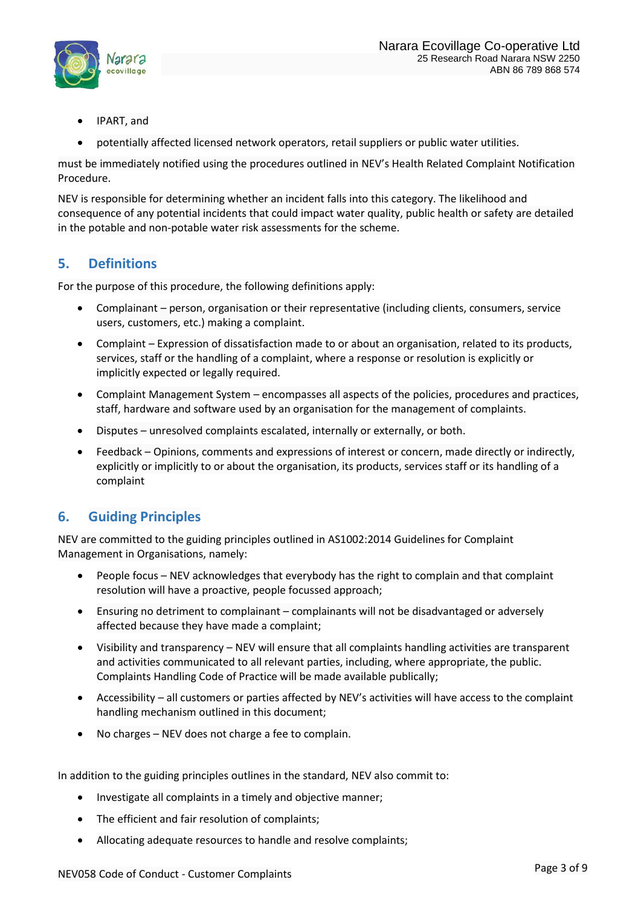

- IPART, and
- potentially affected licensed network operators, retail suppliers or public water utilities.

must be immediately notified using the procedures outlined in NEV's Health Related Complaint Notification Procedure.

NEV is responsible for determining whether an incident falls into this category. The likelihood and consequence of any potential incidents that could impact water quality, public health or safety are detailed in the potable and non-potable water risk assessments for the scheme.

# <span id="page-2-0"></span>**5. Definitions**

For the purpose of this procedure, the following definitions apply:

- Complainant person, organisation or their representative (including clients, consumers, service users, customers, etc.) making a complaint.
- Complaint Expression of dissatisfaction made to or about an organisation, related to its products, services, staff or the handling of a complaint, where a response or resolution is explicitly or implicitly expected or legally required.
- Complaint Management System encompasses all aspects of the policies, procedures and practices, staff, hardware and software used by an organisation for the management of complaints.
- Disputes unresolved complaints escalated, internally or externally, or both.
- Feedback Opinions, comments and expressions of interest or concern, made directly or indirectly, explicitly or implicitly to or about the organisation, its products, services staff or its handling of a complaint

# <span id="page-2-1"></span>**6. Guiding Principles**

NEV are committed to the guiding principles outlined in AS1002:2014 Guidelines for Complaint Management in Organisations, namely:

- People focus NEV acknowledges that everybody has the right to complain and that complaint resolution will have a proactive, people focussed approach;
- Ensuring no detriment to complainant complainants will not be disadvantaged or adversely affected because they have made a complaint;
- Visibility and transparency NEV will ensure that all complaints handling activities are transparent and activities communicated to all relevant parties, including, where appropriate, the public. Complaints Handling Code of Practice will be made available publically;
- Accessibility all customers or parties affected by NEV's activities will have access to the complaint handling mechanism outlined in this document;
- No charges NEV does not charge a fee to complain.

In addition to the guiding principles outlines in the standard, NEV also commit to:

- Investigate all complaints in a timely and objective manner;
- The efficient and fair resolution of complaints;
- Allocating adequate resources to handle and resolve complaints;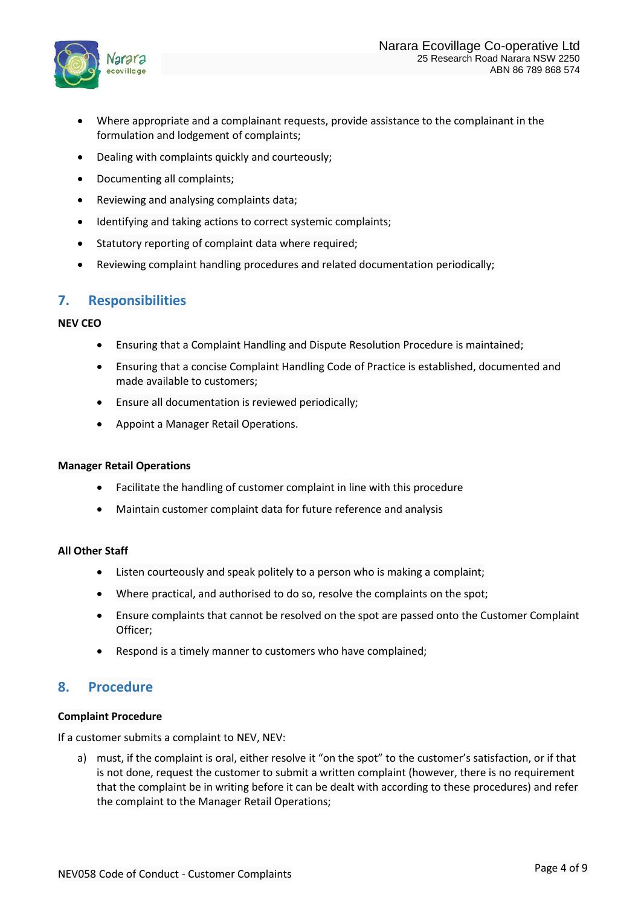

- Where appropriate and a complainant requests, provide assistance to the complainant in the formulation and lodgement of complaints;
- Dealing with complaints quickly and courteously;
- Documenting all complaints;
- Reviewing and analysing complaints data;
- Identifying and taking actions to correct systemic complaints;
- Statutory reporting of complaint data where required;
- Reviewing complaint handling procedures and related documentation periodically;

## <span id="page-3-0"></span>**7. Responsibilities**

#### **NEV CEO**

- Ensuring that a Complaint Handling and Dispute Resolution Procedure is maintained;
- Ensuring that a concise Complaint Handling Code of Practice is established, documented and made available to customers;
- Ensure all documentation is reviewed periodically;
- Appoint a Manager Retail Operations.

#### **Manager Retail Operations**

- Facilitate the handling of customer complaint in line with this procedure
- Maintain customer complaint data for future reference and analysis

#### **All Other Staff**

- Listen courteously and speak politely to a person who is making a complaint;
- Where practical, and authorised to do so, resolve the complaints on the spot;
- Ensure complaints that cannot be resolved on the spot are passed onto the Customer Complaint Officer;
- Respond is a timely manner to customers who have complained;

## <span id="page-3-1"></span>**8. Procedure**

#### **Complaint Procedure**

If a customer submits a complaint to NEV, NEV:

a) must, if the complaint is oral, either resolve it "on the spot" to the customer's satisfaction, or if that is not done, request the customer to submit a written complaint (however, there is no requirement that the complaint be in writing before it can be dealt with according to these procedures) and refer the complaint to the Manager Retail Operations;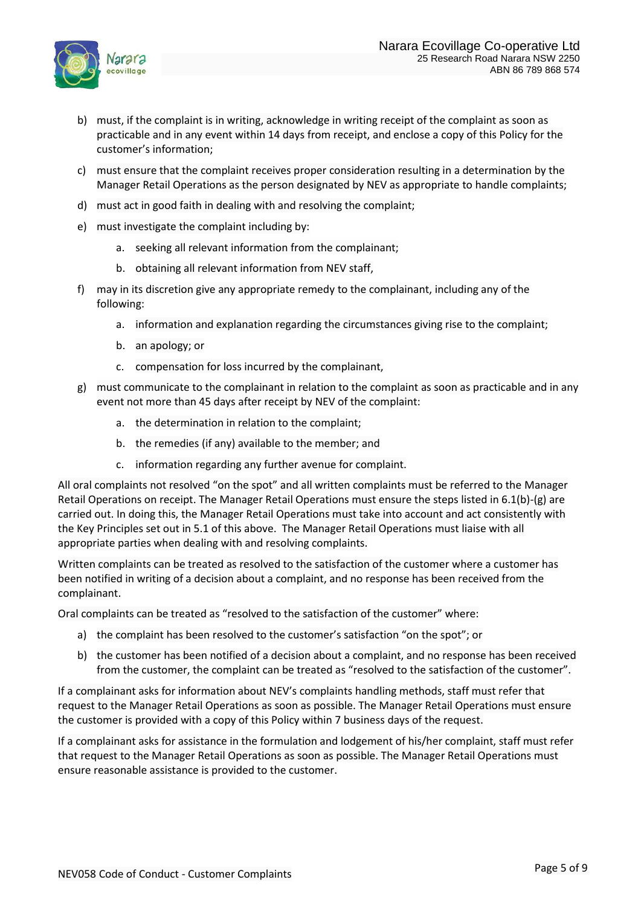

- b) must, if the complaint is in writing, acknowledge in writing receipt of the complaint as soon as practicable and in any event within 14 days from receipt, and enclose a copy of this Policy for the customer's information;
- c) must ensure that the complaint receives proper consideration resulting in a determination by the Manager Retail Operations as the person designated by NEV as appropriate to handle complaints;
- d) must act in good faith in dealing with and resolving the complaint;
- e) must investigate the complaint including by:
	- a. seeking all relevant information from the complainant;
	- b. obtaining all relevant information from NEV staff,
- f) may in its discretion give any appropriate remedy to the complainant, including any of the following:
	- a. information and explanation regarding the circumstances giving rise to the complaint;
	- b. an apology; or
	- c. compensation for loss incurred by the complainant,
- g) must communicate to the complainant in relation to the complaint as soon as practicable and in any event not more than 45 days after receipt by NEV of the complaint:
	- a. the determination in relation to the complaint;
	- b. the remedies (if any) available to the member; and
	- c. information regarding any further avenue for complaint.

All oral complaints not resolved "on the spot" and all written complaints must be referred to the Manager Retail Operations on receipt. The Manager Retail Operations must ensure the steps listed in 6.1(b)-(g) are carried out. In doing this, the Manager Retail Operations must take into account and act consistently with the Key Principles set out in 5.1 of this above. The Manager Retail Operations must liaise with all appropriate parties when dealing with and resolving complaints.

Written complaints can be treated as resolved to the satisfaction of the customer where a customer has been notified in writing of a decision about a complaint, and no response has been received from the complainant.

Oral complaints can be treated as "resolved to the satisfaction of the customer" where:

- a) the complaint has been resolved to the customer's satisfaction "on the spot"; or
- b) the customer has been notified of a decision about a complaint, and no response has been received from the customer, the complaint can be treated as "resolved to the satisfaction of the customer".

If a complainant asks for information about NEV's complaints handling methods, staff must refer that request to the Manager Retail Operations as soon as possible. The Manager Retail Operations must ensure the customer is provided with a copy of this Policy within 7 business days of the request.

If a complainant asks for assistance in the formulation and lodgement of his/her complaint, staff must refer that request to the Manager Retail Operations as soon as possible. The Manager Retail Operations must ensure reasonable assistance is provided to the customer.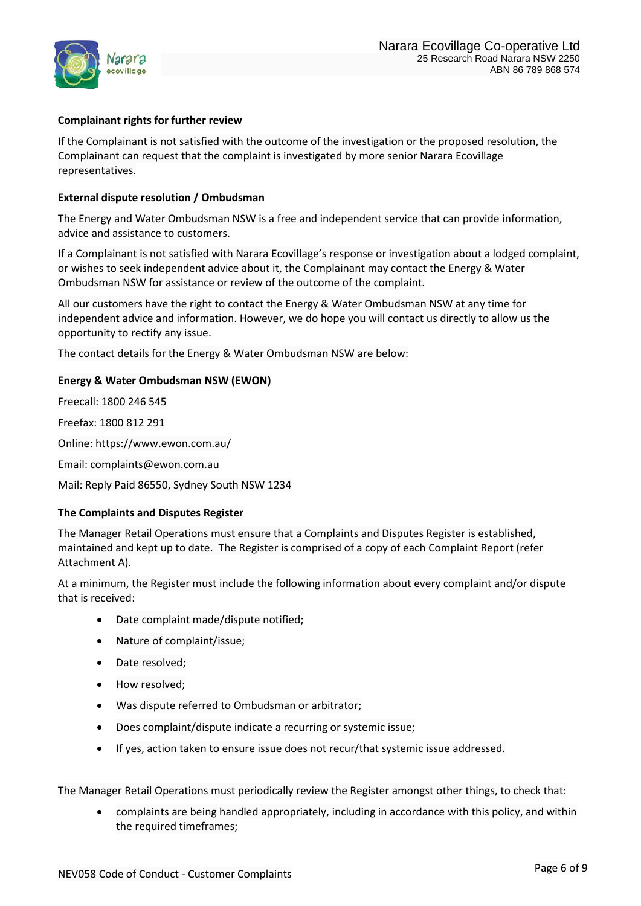

## **Complainant rights for further review**

If the Complainant is not satisfied with the outcome of the investigation or the proposed resolution, the Complainant can request that the complaint is investigated by more senior Narara Ecovillage representatives.

#### **External dispute resolution / Ombudsman**

The Energy and Water Ombudsman NSW is a free and independent service that can provide information, advice and assistance to customers.

If a Complainant is not satisfied with Narara Ecovillage's response or investigation about a lodged complaint, or wishes to seek independent advice about it, the Complainant may contact the Energy & Water Ombudsman NSW for assistance or review of the outcome of the complaint.

All our customers have the right to contact the Energy & Water Ombudsman NSW at any time for independent advice and information. However, we do hope you will contact us directly to allow us the opportunity to rectify any issue.

The contact details for the Energy & Water Ombudsman NSW are below:

## **Energy & Water Ombudsman NSW (EWON)**

Freecall: 1800 246 545

Freefax: 1800 812 291

Online: https://www.ewon.com.au/

Email: complaints@ewon.com.au

Mail: Reply Paid 86550, Sydney South NSW 1234

## **The Complaints and Disputes Register**

The Manager Retail Operations must ensure that a Complaints and Disputes Register is established, maintained and kept up to date. The Register is comprised of a copy of each Complaint Report (refer Attachment A).

At a minimum, the Register must include the following information about every complaint and/or dispute that is received:

- Date complaint made/dispute notified;
- Nature of complaint/issue;
- Date resolved;
- How resolved;
- Was dispute referred to Ombudsman or arbitrator;
- Does complaint/dispute indicate a recurring or systemic issue;
- If yes, action taken to ensure issue does not recur/that systemic issue addressed.

The Manager Retail Operations must periodically review the Register amongst other things, to check that:

• complaints are being handled appropriately, including in accordance with this policy, and within the required timeframes;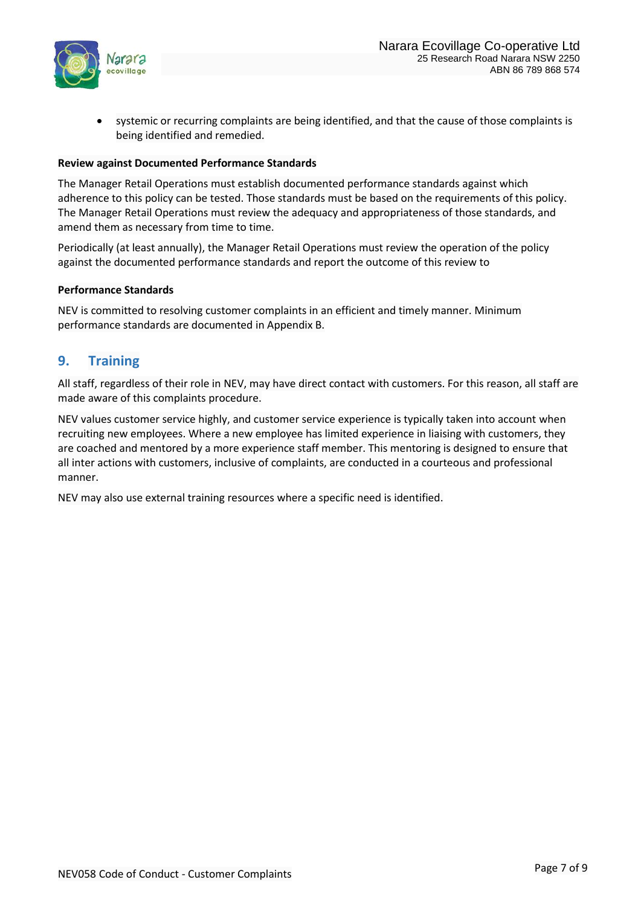

systemic or recurring complaints are being identified, and that the cause of those complaints is being identified and remedied.

#### **Review against Documented Performance Standards**

The Manager Retail Operations must establish documented performance standards against which adherence to this policy can be tested. Those standards must be based on the requirements of this policy. The Manager Retail Operations must review the adequacy and appropriateness of those standards, and amend them as necessary from time to time.

Periodically (at least annually), the Manager Retail Operations must review the operation of the policy against the documented performance standards and report the outcome of this review to

#### **Performance Standards**

NEV is committed to resolving customer complaints in an efficient and timely manner. Minimum performance standards are documented in Appendix B.

## <span id="page-6-0"></span>**9. Training**

All staff, regardless of their role in NEV, may have direct contact with customers. For this reason, all staff are made aware of this complaints procedure.

NEV values customer service highly, and customer service experience is typically taken into account when recruiting new employees. Where a new employee has limited experience in liaising with customers, they are coached and mentored by a more experience staff member. This mentoring is designed to ensure that all inter actions with customers, inclusive of complaints, are conducted in a courteous and professional manner.

NEV may also use external training resources where a specific need is identified.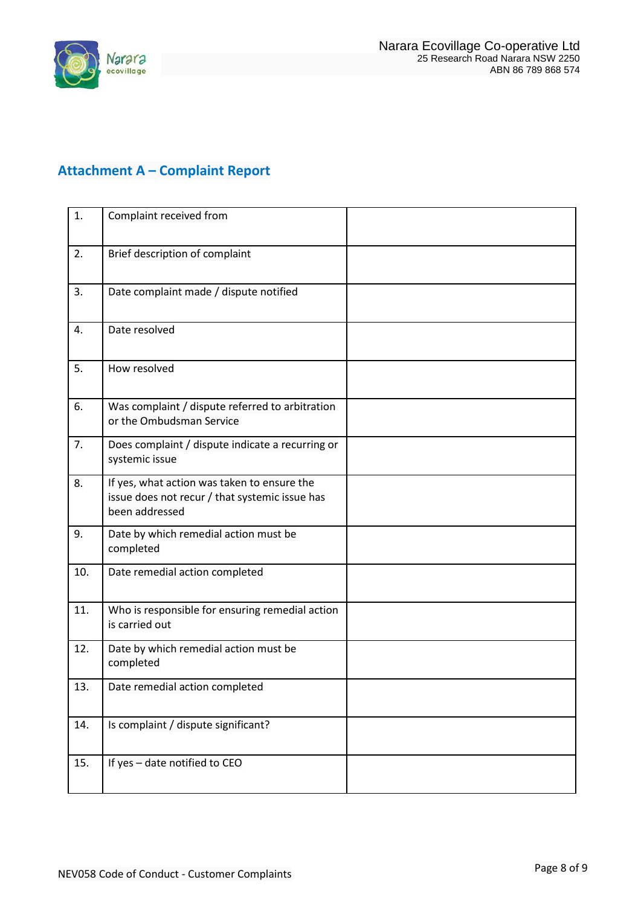

# <span id="page-7-0"></span>**Attachment A – Complaint Report**

| 1.  | Complaint received from                                                                                         |  |
|-----|-----------------------------------------------------------------------------------------------------------------|--|
| 2.  | Brief description of complaint                                                                                  |  |
| 3.  | Date complaint made / dispute notified                                                                          |  |
| 4.  | Date resolved                                                                                                   |  |
| 5.  | How resolved                                                                                                    |  |
| 6.  | Was complaint / dispute referred to arbitration<br>or the Ombudsman Service                                     |  |
| 7.  | Does complaint / dispute indicate a recurring or<br>systemic issue                                              |  |
| 8.  | If yes, what action was taken to ensure the<br>issue does not recur / that systemic issue has<br>been addressed |  |
| 9.  | Date by which remedial action must be<br>completed                                                              |  |
| 10. | Date remedial action completed                                                                                  |  |
| 11. | Who is responsible for ensuring remedial action<br>is carried out                                               |  |
| 12. | Date by which remedial action must be<br>completed                                                              |  |
| 13. | Date remedial action completed                                                                                  |  |
| 14. | Is complaint / dispute significant?                                                                             |  |
| 15. | If yes - date notified to CEO                                                                                   |  |